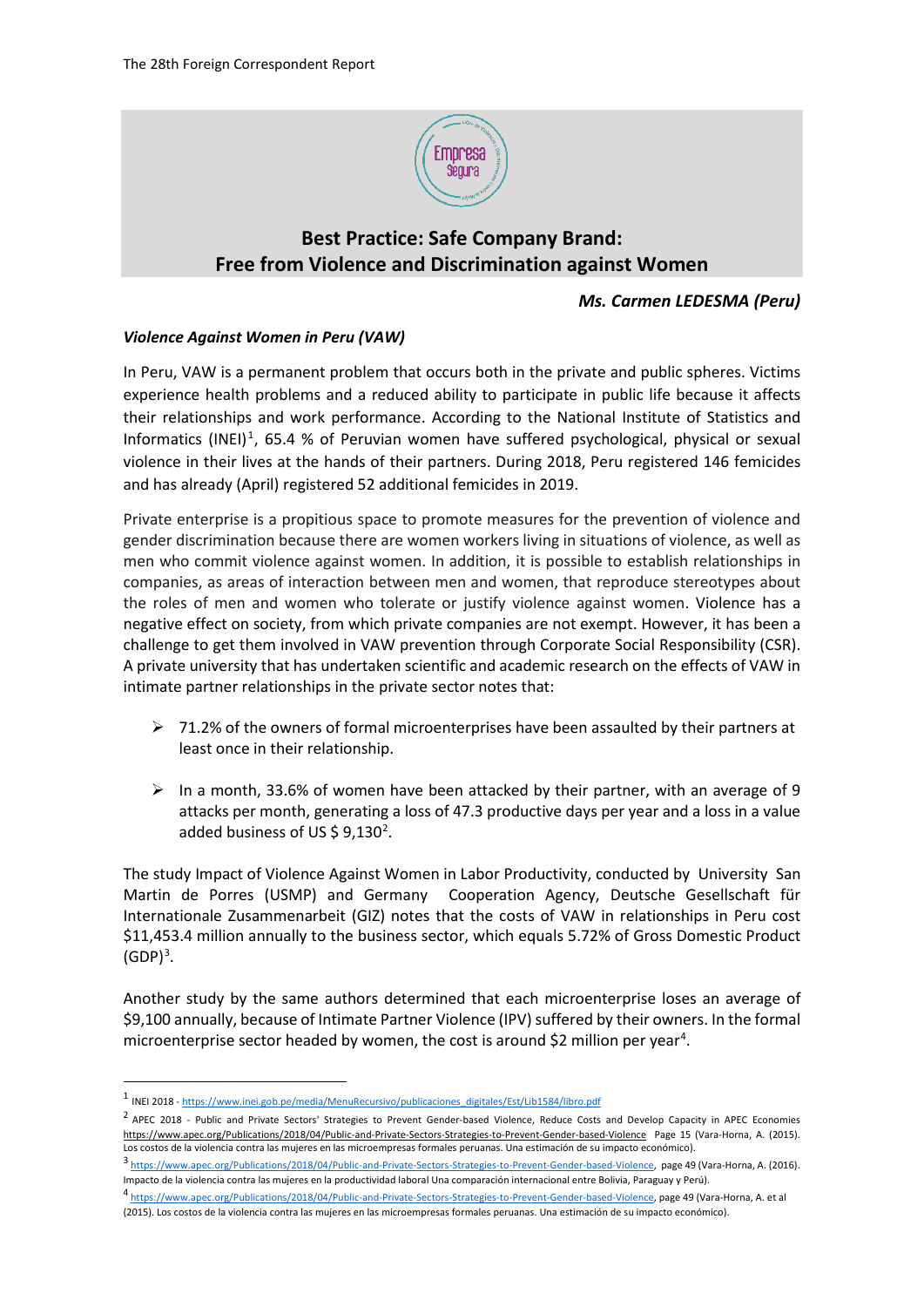

## **Best Practice: Safe Company Brand: Free from Violence and Discrimination against Women**

## *Ms. Carmen LEDESMA (Peru)*

## *Violence Against Women in Peru (VAW)*

In Peru, VAW is a permanent problem that occurs both in the private and public spheres. Victims experience health problems and a reduced ability to participate in public life because it affects their relationships and work performance. According to the National Institute of Statistics and Informatics (INEI)<sup>[1](#page-0-0)</sup>, 65.4 % of Peruvian women have suffered psychological, physical or sexual violence in their lives at the hands of their partners. During 2018, Peru registered 146 femicides and has already (April) registered 52 additional femicides in 2019.

Private enterprise is a propitious space to promote measures for the prevention of violence and gender discrimination because there are women workers living in situations of violence, as well as men who commit violence against women. In addition, it is possible to establish relationships in companies, as areas of interaction between men and women, that reproduce stereotypes about the roles of men and women who tolerate or justify violence against women. Violence has a negative effect on society, from which private companies are not exempt. However, it has been a challenge to get them involved in VAW prevention through Corporate Social Responsibility (CSR). A private university that has undertaken scientific and academic research on the effects of VAW in intimate partner relationships in the private sector notes that:

- $\triangleright$  71.2% of the owners of formal microenterprises have been assaulted by their partners at least once in their relationship.
- $\triangleright$  In a month, 33.6% of women have been attacked by their partner, with an average of 9 attacks per month, generating a loss of 47.3 productive days per year and a loss in a value added business of US \$ 9,130<sup>[2](#page-0-1)</sup>.

The study Impact of Violence Against Women in Labor Productivity, conducted by University San Martin de Porres (USMP) and Germany Cooperation Agency, Deutsche Gesellschaft für Internationale Zusammenarbeit (GIZ) notes that the costs of VAW in relationships in Peru cost \$11,453.4 million annually to the business sector, which equals 5.72% of Gross Domestic Product  $(GDP)^3$  $(GDP)^3$ .

Another study by the same authors determined that each microenterprise loses an average of \$9,100 annually, because of Intimate Partner Violence (IPV) suffered by their owners. In the formal microenterprise sector headed by women, the cost is around \$2 million per year<sup>[4](#page-0-3)</sup>.

<span id="page-0-0"></span> <sup>1</sup> INEI 2018 - [https://www.inei.gob.pe/media/MenuRecursivo/publicaciones\\_digitales/Est/Lib1584/libro.pdf](https://www.inei.gob.pe/media/MenuRecursivo/publicaciones_digitales/Est/Lib1584/libro.pdf)

<span id="page-0-1"></span><sup>&</sup>lt;sup>2</sup> APEC 2018 - Public and Private Sectors' Strategies to Prevent Gender-based Violence, Reduce Costs and Develop Capacity in APEC Economies <https://www.apec.org/Publications/2018/04/Public-and-Private-Sectors-Strategies-to-Prevent-Gender-based-Violence>Page 15 (Vara-Horna, A. (2015). Los costos de la violencia contra las mujeres en las microempresas formales peruanas. Una estimación de su impacto económico).

<span id="page-0-2"></span><sup>3</sup> [https://www.apec.org/Publications/2018/04/Public-and-Private-Sectors-Strategies-to-Prevent-Gender-based-Violence,](https://www.apec.org/Publications/2018/04/Public-and-Private-Sectors-Strategies-to-Prevent-Gender-based-Violence) page 49 (Vara-Horna, A. (2016). Impacto de la violencia contra las mujeres en la productividad laboral Una comparación internacional entre Bolivia, Paraguay y Perú).

<span id="page-0-3"></span><sup>4</sup> [https://www.apec.org/Publications/2018/04/Public-and-Private-Sectors-Strategies-to-Prevent-Gender-based-Violence,](https://www.apec.org/Publications/2018/04/Public-and-Private-Sectors-Strategies-to-Prevent-Gender-based-Violence) page 49 (Vara-Horna, A. et al (2015). Los costos de la violencia contra las mujeres en las microempresas formales peruanas. Una estimación de su impacto económico).